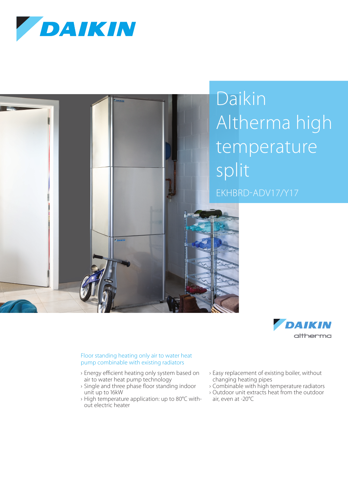





## Floor standing heating only air to water heat pump combinable with existing radiators

- › Energy efficient heating only system based on air to water heat pump technology
- › Single and three phase floor standing indoor unit up to 16kW
- › High temperature application: up to 80°C without electric heater
- › Easy replacement of existing boiler, without changing heating pipes
- › Combinable with high temperature radiators
- › Outdoor unit extracts heat from the outdoor air, even at -20°C